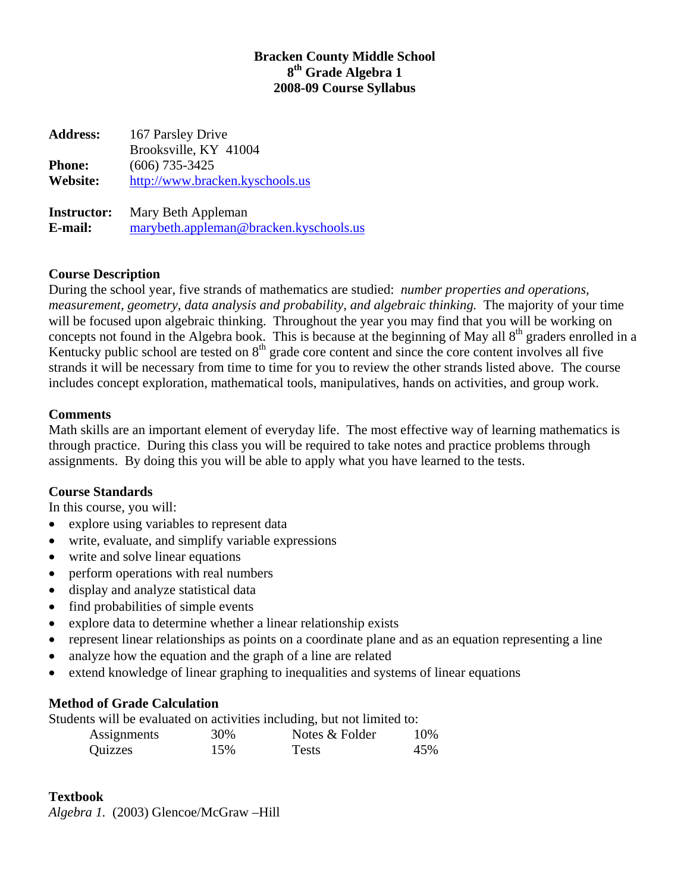# **Bracken County Middle School 8th Grade Algebra 1 2008-09 Course Syllabus**

**Address:** 167 Parsley Drive Brooksville, KY 41004 **Phone:** (606) 735-3425 **Website:** [http://www.bracken.kyschools.us](http://www.bracken.kyschools.us/) **Instructor:** Mary Beth Appleman **E-mail:** [marybeth.appleman@bracken.kyschools.us](mailto:marybeth.appleman@bracken.kyschools.us)

# **Course Description**

During the school year, five strands of mathematics are studied: *number properties and operations, measurement, geometry, data analysis and probability, and algebraic thinking.* The majority of your time will be focused upon algebraic thinking. Throughout the year you may find that you will be working on concepts not found in the Algebra book. This is because at the beginning of May all 8<sup>th</sup> graders enrolled in a Kentucky public school are tested on  $8<sup>th</sup>$  grade core content and since the core content involves all five strands it will be necessary from time to time for you to review the other strands listed above. The course includes concept exploration, mathematical tools, manipulatives, hands on activities, and group work.

#### **Comments**

Math skills are an important element of everyday life. The most effective way of learning mathematics is through practice. During this class you will be required to take notes and practice problems through assignments. By doing this you will be able to apply what you have learned to the tests.

# **Course Standards**

In this course, you will:

- explore using variables to represent data
- write, evaluate, and simplify variable expressions
- write and solve linear equations
- perform operations with real numbers
- display and analyze statistical data
- find probabilities of simple events
- explore data to determine whether a linear relationship exists
- represent linear relationships as points on a coordinate plane and as an equation representing a line
- analyze how the equation and the graph of a line are related
- extend knowledge of linear graphing to inequalities and systems of linear equations

# **Method of Grade Calculation**

Students will be evaluated on activities including, but not limited to:

| Assignments | 30% | Notes & Folder | 10% |
|-------------|-----|----------------|-----|
| Quizzes     | 15% | <b>Tests</b>   | 45% |

# **Textbook**

*Algebra 1.* (2003) Glencoe/McGraw –Hill